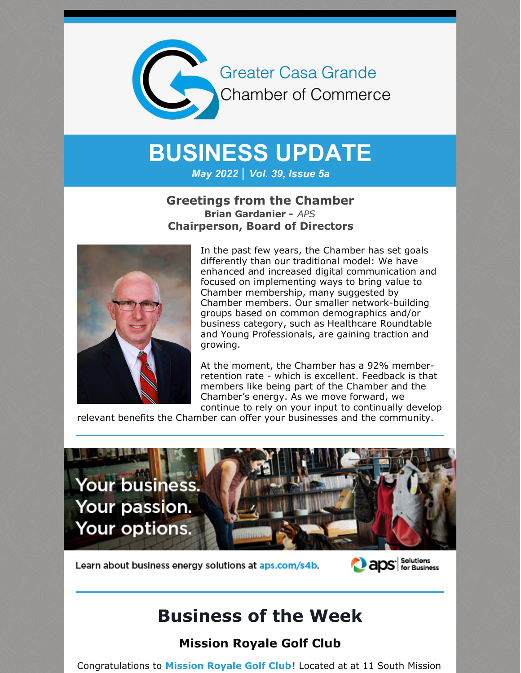

# **BUSINESS UPDATE**

*May 2022 | Vol. 39, Issue 5a*

### **Greetings from the Chamber Brian Gardanier -** *APS* **Chairperson, Board of Directors**



In the past few years, the Chamber has set goals differently than our traditional model: We have enhanced and increased digital communication and focused on implementing ways to bring value to Chamber membership, many suggested by Chamber members. Our smaller network-building groups based on common demographics and/or business category, such as Healthcare Roundtable and Young Professionals, are gaining traction and growing.

At the moment, the Chamber has a 92% memberretention rate - which is excellent. Feedback is that members like being part of the Chamber and the Chamber's energy. As we move forward, we continue to rely on your input to continually develop

relevant benefits the Chamber can offer your businesses and the community.



Learn about business energy solutions at aps.com/s4b.



# **Business of the Week**

## **Mission Royale Golf Club**

Congratulations to **[Mission](https://www.missionroyalegolfclub.com/) Royale Golf Club**! Located at at 11 South Mission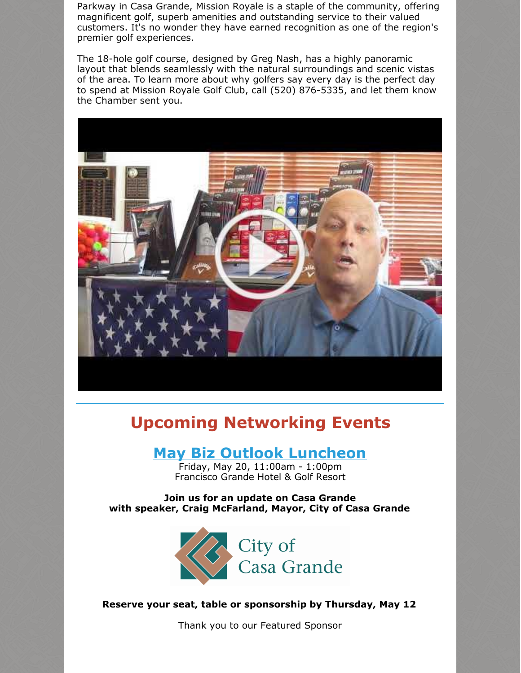Parkway in Casa Grande, Mission Royale is a staple of the community, offering magnificent golf, superb amenities and outstanding service to their valued customers. It's no wonder they have earned recognition as one of the region's premier golf experiences.

The 18-hole golf course, designed by Greg Nash, has a highly panoramic layout that blends seamlessly with the natural surroundings and scenic vistas of the area. To learn more about why golfers say every day is the perfect day to spend at Mission Royale Golf Club, call (520) 876-5335, and let them know the Chamber sent you.



# **Upcoming Networking Events**

## **May Biz Outlook [Luncheon](https://r20.rs6.net/tn.jsp?f=001X_954o13phhjpXitoXH1Xf5t3LjyiA6MqS5uEtFFq9J7CbCguKguPQbcJtJb8lQfqRnkaVjgMshEV8o51KTkBYrQkiZV6VslVzOWLThW08Xv876-pC3za-O7TWrjk7McRNCobcK2X-6mUIARzGtmSDyQ05ECdF_l-jPOQZjvsKfIdIpjGZE9gV1RGSeu3TH6zQbD5o2WyPLtBK-EVmppkQB_UUEx7HOouxLUbBtkcuk=&c=&ch=)**

Friday, May 20, 11:00am - 1:00pm Francisco Grande Hotel & Golf Resort

**Join us for an update on Casa Grande with speaker, Craig McFarland, Mayor, City of Casa Grande**



**Reserve your seat, table or sponsorship by Thursday, May 12**

Thank you to our Featured Sponsor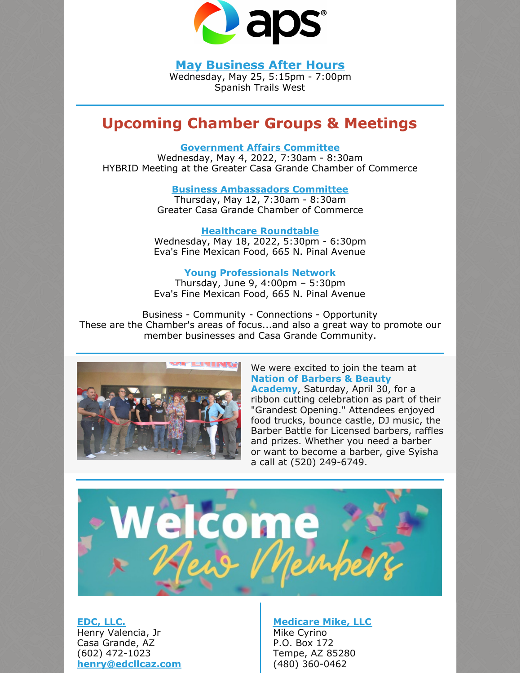

**May [Business](https://cca.casagrandechamber.org/EvtListing.aspx?dbid2=AZCAGR&evtid=28074&class=E) After Hours**

Wednesday, May 25, 5:15pm - 7:00pm Spanish Trails West

# **Upcoming Chamber Groups & Meetings**

#### **[Government](https://cca.casagrandechamber.org/EvtListing.aspx?dbid2=AZCAGR&evtid=28088&class=E) Affairs Committee**

Wednesday, May 4, 2022, 7:30am - 8:30am HYBRID Meeting at the Greater Casa Grande Chamber of Commerce

#### **Business [Ambassadors](https://r20.rs6.net/tn.jsp?f=001SAfMcPdfFc7dp9FWdhX3dZnXeb1T58kHdow07G8o5-juBNtK7UHFSGEcPYZh0ln3u8fgPLDh2OP-8vEh9IZDmGGN2F4I7qpxsJfGEs1q39x-3DltBMdH4BW9-o1CepCgY_goXjUDDHv-A8xHRH_UAld-4TJ-IIiBjLyZ2IZeQReR1KTZYZBtEBBHTpYnMM5N9K0Z-8eYaAHQ0pq31dliKyFFUVKnmrRRzmU2TLqfycY=&c=&ch=) Committee**

Thursday, May 12, 7:30am - 8:30am Greater Casa Grande Chamber of Commerce

**Healthcare [Roundtable](https://r20.rs6.net/tn.jsp?f=001RKaEzkIcG2gG__bZuCIeTHkX2dHTOZlHbHoRUdMv75dz6KY8ltxYiXSd-nH21b16X0dyHNsLTKy4RDbBIJAaP3boQKghoIjS8vsVK0_jfLn8Cgv9iSTs4HFnp10uWsUY7h9Ch_nkwOy_urOL1GO2vpJ6rAGZp-iYKs1I5ba3y0A6l1Ffil86gBpAyeWX-l_kLUdI6IQ9n-I1OGfXSogIMTLqSYAYDw1SYStLMTD-8uM=&c=XTRWWAjXDJY-R45StzCgX7VyX_K66C7DPwK6IMIfDQJKYhXl5JDhfg==&ch=rejHrUED7vi5dL2idhk-WXWpgrV_5U3qxjKPwW52SL3MsNbxPDrfAg==)** Wednesday, May 18, 2022, 5:30pm - 6:30pm Eva's Fine Mexican Food, 665 N. Pinal Avenue

#### **Young [Professionals](https://r20.rs6.net/tn.jsp?f=001SAfMcPdfFc7dp9FWdhX3dZnXeb1T58kHdow07G8o5-juBNtK7UHFSGEcPYZh0ln3TkuDO0dblgexBkSGRGlCdZoVTFG_2DKIbGiXWOkH5RK5h9hDw-Br4eb38MxpwJgrD5ACUdWQlHKHUv7RSf6USsc7ZrTwcaezG2YUvXJzz1A9zWFlACgFbJKgZ1x1YzGjOcKFMGmG_SkYZWEqceJ3wfhCTmDVI5d4cXb4IbOhucs=&c=&ch=) Network**

Thursday, June 9, 4:00pm – 5:30pm Eva's Fine Mexican Food, 665 N. Pinal Avenue

Business - Community - Connections - Opportunity These are the Chamber's areas of focus...and also a great way to promote our member businesses and Casa Grande Community.



#### We were excited to join the team at **Nation of Barbers & Beauty**

**Academy**, Saturday, April 30, for a ribbon cutting celebration as part of their "Grandest Opening." Attendees enjoyed food trucks, bounce castle, DJ music, the Barber Battle for Licensed barbers, raffles and prizes. Whether you need a barber or want to become a barber, give Syisha a call at (520) 249-6749.



**[EDC,](http://www.edcllcaz.com) LLC.** Henry Valencia, Jr Casa Grande, AZ (602) 472-1023 **[henry@edcllcaz.com](mailto:henry@edcllcaz.com)**

### **[Medicare](http://www.medicaremikeaz.com) Mike, LLC**

Mike Cyrino P.O. Box 172 Tempe, AZ 85280 (480) 360-0462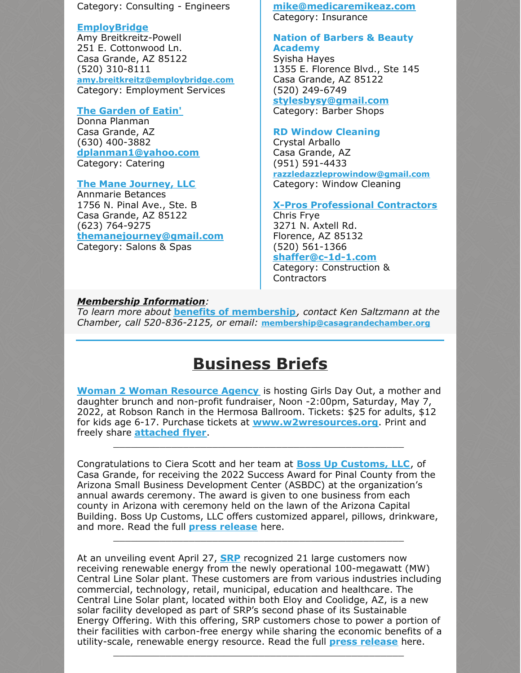Category: Consulting - Engineers

#### **[EmployBridge](http://www.employbridge.com)**

Amy Breitkreitz-Powell 251 E. Cottonwood Ln. Casa Grande, AZ 85122 (520) 310-8111 **[amy.breitkreitz@employbridge.com](mailto:amy.breitkreitz@employbridge.com)** Category: Employment Services

#### **The [Garden](http://www.gardenofeatincg.com) of Eatin'**

Donna Planman Casa Grande, AZ (630) 400-3882 **[dplanman1@yahoo.com](mailto:dplanman1@yahoo.com)** Category: Catering

#### **The Mane [Journey,](http://www.themanejourney.com) LLC**

Annmarie Betances 1756 N. Pinal Ave., Ste. B Casa Grande, AZ 85122 (623) 764-9275 **[themanejourney@gmail.com](mailto:themanejourney@gmail.com)** Category: Salons & Spas

#### **[mike@medicaremikeaz.com](mailto:mike@medicaremikeaz.com)** Category: Insurance

#### **Nation of Barbers & Beauty Academy**

Syisha Hayes 1355 E. Florence Blvd., Ste 145 Casa Grande, AZ 85122 (520) 249-6749

**[stylesbysy@gmail.com](mailto:stylesbysy@gmail.com)** Category: Barber Shops

#### **RD Window Cleaning**

Crystal Arballo Casa Grande, AZ (951) 591-4433 **[razzledazzleprowindow@gmail.com](mailto:razzledazzleprowindow@gmail.com)**

Category: Window Cleaning

#### **X-Pros [Professional](http://www.constructionanddesignprofessionals.com) Contractors**

Chris Frye 3271 N. Axtell Rd. Florence, AZ 85132 (520) 561-1366 **[shaffer@c-1d-1.com](mailto:shaffer@c-1d-1.com)**

Category: Construction & Contractors

#### *Membership Information:*

*To learn more about* **benefits of [membership](https://casagrandechamber.org/member-benefits/)***, contact Ken Saltzmann at the Chamber, call 520-836-2125, or email:* **[membership@casagrandechamber.or](mailto:membership@casagrandechamber.org)g**

# **Business Briefs**

**Woman 2 Woman [Resource](https://w2wresources.org/) Agency** is hosting Girls Day Out, a mother and daughter brunch and non-profit fundraiser, Noon -2:00pm, Saturday, May 7, 2022, at Robson Ranch in the Hermosa Ballroom. Tickets: \$25 for adults, \$12 for kids age 6-17. Purchase tickets at **[www.w2wresources.org](https://w2wresources.org/)**. Print and freely share **[attached](https://files.constantcontact.com/8c5f2f7b701/db60f72e-cbfb-4691-98cc-ba45d45e6781.pdf?rdr=true) flyer**.

\_\_\_\_\_\_\_\_\_\_\_\_\_\_\_\_\_\_\_\_\_\_\_\_\_\_\_\_\_\_\_\_\_\_\_\_\_\_\_\_\_\_\_\_\_\_\_\_\_\_

Congratulations to Ciera Scott and her team at **Boss Up [Customs,](https://bossupcustom.espwebsite.com/) LLC**, of Casa Grande, for receiving the 2022 Success Award for Pinal County from the Arizona Small Business Development Center (ASBDC) at the organization's annual awards ceremony. The award is given to one business from each county in Arizona with ceremony held on the lawn of the Arizona Capital Building. Boss Up Customs, LLC offers customized apparel, pillows, drinkware, and more. Read the full **press [release](https://files.constantcontact.com/8c5f2f7b701/aa3e4bd6-c734-4911-9922-37aad4de1d7e.pdf?rdr=true)** here.

\_\_\_\_\_\_\_\_\_\_\_\_\_\_\_\_\_\_\_\_\_\_\_\_\_\_\_\_\_\_\_\_\_\_\_\_\_\_\_\_\_\_\_\_\_\_\_\_\_\_

At an unveiling event April 27, **[SRP](http://www.srpnet.com)** recognized 21 large customers now receiving renewable energy from the newly operational 100-megawatt (MW) Central Line Solar plant. These customers are from various industries including commercial, technology, retail, municipal, education and healthcare. The Central Line Solar plant, located within both Eloy and Coolidge, AZ, is a new solar facility developed as part of SRP's second phase of its Sustainable Energy Offering. With this offering, SRP customers chose to power a portion of their facilities with carbon-free energy while sharing the economic benefits of a utility-scale, renewable energy resource. Read the full **press [release](https://media.srpnet.com/21-businesses-cities-and-schoolshigher-education-organizations-began-receiving-utility-scale-solar-from-srp/)** here.

\_\_\_\_\_\_\_\_\_\_\_\_\_\_\_\_\_\_\_\_\_\_\_\_\_\_\_\_\_\_\_\_\_\_\_\_\_\_\_\_\_\_\_\_\_\_\_\_\_\_